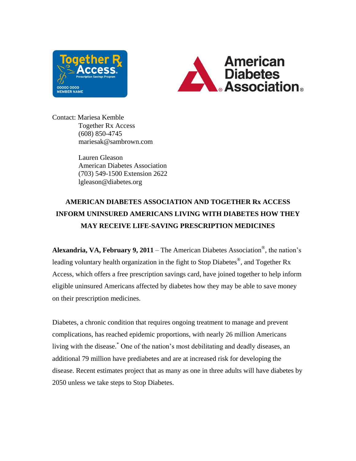



Contact: Mariesa Kemble Together Rx Access (608) 850-4745 mariesak@sambrown.com

> Lauren Gleason American Diabetes Association (703) 549-1500 Extension 2622 lgleason@diabetes.org

## **AMERICAN DIABETES ASSOCIATION AND TOGETHER Rx ACCESS INFORM UNINSURED AMERICANS LIVING WITH DIABETES HOW THEY MAY RECEIVE LIFE-SAVING PRESCRIPTION MEDICINES**

**Alexandria, VA, February 9, 2011** – The American Diabetes Association® , the nation's leading voluntary health organization in the fight to Stop Diabetes®, and Together Rx Access, which offers a free prescription savings card, have joined together to help inform eligible uninsured Americans affected by diabetes how they may be able to save money on their prescription medicines.

Diabetes, a chronic condition that requires ongoing treatment to manage and prevent complications, has reached epidemic proportions, with nearly 26 million Americans living with the disease. \* One of the nation's most debilitating and deadly diseases, an additional 79 million have prediabetes and are at increased risk for developing the disease. Recent estimates project that as many as one in three adults will have diabetes by 2050 unless we take steps to Stop Diabetes.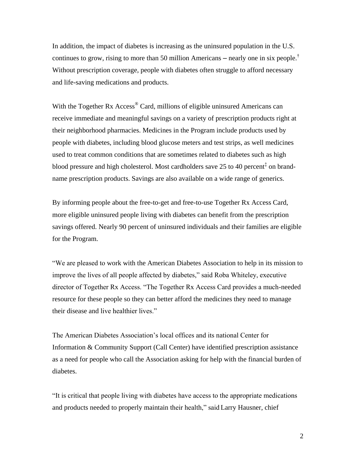In addition, the impact of diabetes is increasing as the uninsured population in the U.S. continues to grow, rising to more than 50 million Americans – nearly one in six people.<sup>†</sup> Without prescription coverage, people with diabetes often struggle to afford necessary and life-saving medications and products.

With the Together Rx Access<sup>®</sup> Card, millions of eligible uninsured Americans can receive immediate and meaningful savings on a variety of prescription products right at their neighborhood pharmacies. Medicines in the Program include products used by people with diabetes, including blood glucose meters and test strips, as well medicines used to treat common conditions that are sometimes related to diabetes such as high blood pressure and high cholesterol. Most cardholders save 25 to 40 percent<sup>‡</sup> on brandname prescription products. Savings are also available on a wide range of generics.

By informing people about the free-to-get and free-to-use Together Rx Access Card, more eligible uninsured people living with diabetes can benefit from the prescription savings offered. Nearly 90 percent of uninsured individuals and their families are eligible for the Program.

"We are pleased to work with the American Diabetes Association to help in its mission to improve the lives of all people affected by diabetes," said Roba Whiteley, executive director of Together Rx Access. "The Together Rx Access Card provides a much-needed resource for these people so they can better afford the medicines they need to manage their disease and live healthier lives."

The American Diabetes Association's local offices and its national Center for Information & Community Support (Call Center) have identified prescription assistance as a need for people who call the Association asking for help with the financial burden of diabetes.

"It is critical that people living with diabetes have access to the appropriate medications and products needed to properly maintain their health," said Larry Hausner, chief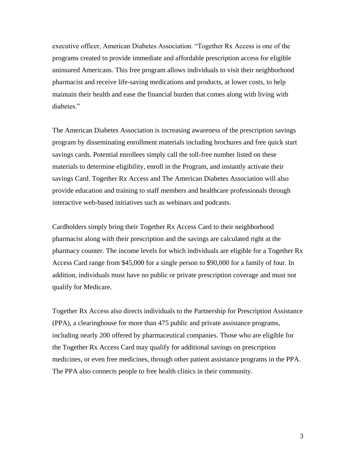executive officer, American Diabetes Association. "Together Rx Access is one of the programs created to provide immediate and affordable prescription access for eligible uninsured Americans. This free program allows individuals to visit their neighborhood pharmacist and receive life-saving medications and products, at lower costs, to help maintain their health and ease the financial burden that comes along with living with diabetes."

The American Diabetes Association is increasing awareness of the prescription savings program by disseminating enrollment materials including brochures and free quick start savings cards. Potential enrollees simply call the toll-free number listed on these materials to determine eligibility, enroll in the Program, and instantly activate their savings Card. Together Rx Access and The American Diabetes Association will also provide education and training to staff members and healthcare professionals through interactive web-based initiatives such as webinars and podcasts.

Cardholders simply bring their Together Rx Access Card to their neighborhood pharmacist along with their prescription and the savings are calculated right at the pharmacy counter. The income levels for which individuals are eligible for a Together Rx Access Card range from \$45,000 for a single person to \$90,000 for a family of four. In addition, individuals must have no public or private prescription coverage and must not qualify for Medicare.

Together Rx Access also directs individuals to the Partnership for Prescription Assistance (PPA), a clearinghouse for more than 475 public and private assistance programs, including nearly 200 offered by pharmaceutical companies. Those who are eligible for the Together Rx Access Card may qualify for additional savings on prescription medicines, or even free medicines, through other patient assistance programs in the PPA. The PPA also connects people to free health clinics in their community.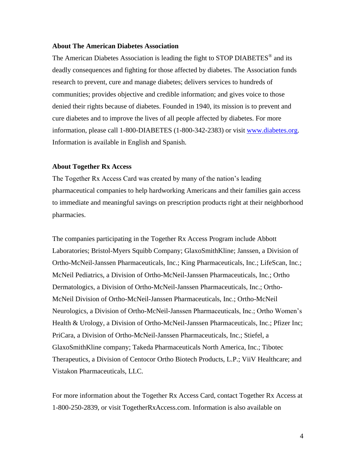## **About The American Diabetes Association**

The American Diabetes Association is leading the fight to STOP DIABETES<sup>®</sup> and its deadly consequences and fighting for those affected by diabetes. The Association funds research to prevent, cure and manage diabetes; delivers services to hundreds of communities; provides objective and credible information; and gives voice to those denied their rights because of diabetes. Founded in 1940, its mission is to prevent and cure diabetes and to improve the lives of all people affected by diabetes. For more information, please call 1-800-DIABETES (1-800-342-2383) or visit [www.diabetes.org.](http://www.diabetes.org/?utm_source=WWW&utm_medium=PressRelease&utm_campaign=PR) Information is available in English and Spanish.

## **About Together Rx Access**

The Together Rx Access Card was created by many of the nation's leading pharmaceutical companies to help hardworking Americans and their families gain access to immediate and meaningful savings on prescription products right at their neighborhood pharmacies.

The companies participating in the Together Rx Access Program include Abbott Laboratories; Bristol-Myers Squibb Company; GlaxoSmithKline; Janssen, a Division of Ortho-McNeil-Janssen Pharmaceuticals, Inc.; King Pharmaceuticals, Inc.; LifeScan, Inc.; McNeil Pediatrics, a Division of Ortho-McNeil-Janssen Pharmaceuticals, Inc.; Ortho Dermatologics, a Division of Ortho-McNeil-Janssen Pharmaceuticals, Inc.; Ortho-McNeil Division of Ortho-McNeil-Janssen Pharmaceuticals, Inc.; Ortho-McNeil Neurologics, a Division of Ortho-McNeil-Janssen Pharmaceuticals, Inc.; Ortho Women's Health & Urology, a Division of Ortho-McNeil-Janssen Pharmaceuticals, Inc.; Pfizer Inc; PriCara, a Division of Ortho-McNeil-Janssen Pharmaceuticals, Inc.; Stiefel, a GlaxoSmithKline company; Takeda Pharmaceuticals North America, Inc.; Tibotec Therapeutics, a Division of Centocor Ortho Biotech Products, L.P.; ViiV Healthcare; and Vistakon Pharmaceuticals, LLC.

For more information about the Together Rx Access Card, contact Together Rx Access at 1-800-250-2839, or visit TogetherRxAccess.com. Information is also available on